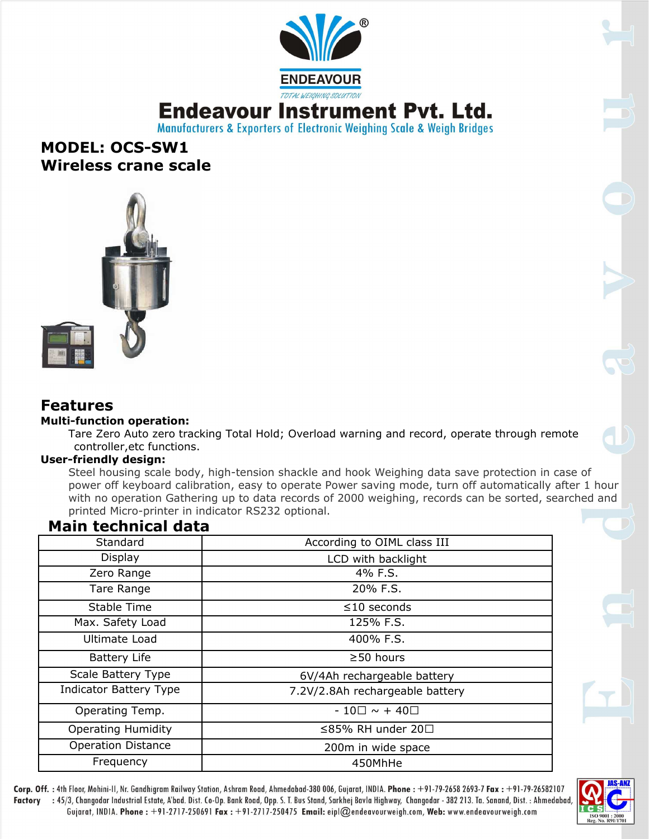

## **Endeavour Instrument Pyt. Ltd.**

Manufacturers & Exporters of Electronic Weighing Scale & Weigh Bridges

## **MODEL: OCS-SW1 Wireless crane scale**



### **Features**

#### **Multi-function operation:**

Tare Zero Auto zero tracking Total Hold; Overload warning and record, operate through remote controller,etc functions.

#### **User-friendly design:**

Steel housing scale body, high-tension shackle and hook Weighing data save protection in case of power off keyboard calibration, easy to operate Power saving mode, turn off automatically after 1 hour with no operation Gathering up to data records of 2000 weighing, records can be sorted, searched and printed Micro-printer in indicator RS232 optional.

## **Main technical data**

| Standard                      | According to OIML class III     |
|-------------------------------|---------------------------------|
| <b>Display</b>                | LCD with backlight              |
| Zero Range                    | 4% F.S.                         |
| Tare Range                    | 20% F.S.                        |
| Stable Time                   | $\leq$ 10 seconds               |
| Max. Safety Load              | 125% F.S.                       |
| Ultimate Load                 | 400% F.S.                       |
| <b>Battery Life</b>           | $\geq$ 50 hours                 |
| Scale Battery Type            | 6V/4Ah rechargeable battery     |
| <b>Indicator Battery Type</b> | 7.2V/2.8Ah rechargeable battery |
| Operating Temp.               | $-10\square \sim +40\square$    |
| <b>Operating Humidity</b>     | ≤85% RH under 20□               |
| <b>Operation Distance</b>     | 200m in wide space              |
| Frequency                     | 450MhHe                         |



Corp. Off. : 4th Floor, Mohini-II, Nr. Gandhigram Railway Station, Ashram Road, Ahmedabad-380 006, Gujarat, INDIA. Phone : +91-79-2658 2693-7 Fax : +91-79-26582107 Factory : 45/3, Changodar Industrial Estate, A'bad. Dist. Co-Op. Bank Road, Opp. S. T. Bus Stand, Sarkhej Bavla Highway, Changodar - 382 213. Ta. Sanand, Dist. : Ahmedabad Gujarat, INDIA. Phone: +91-2717-250691 Fax: +91-2717-250475 Email: eipl@endeavourweigh.com, Web: www.endeavourweigh.com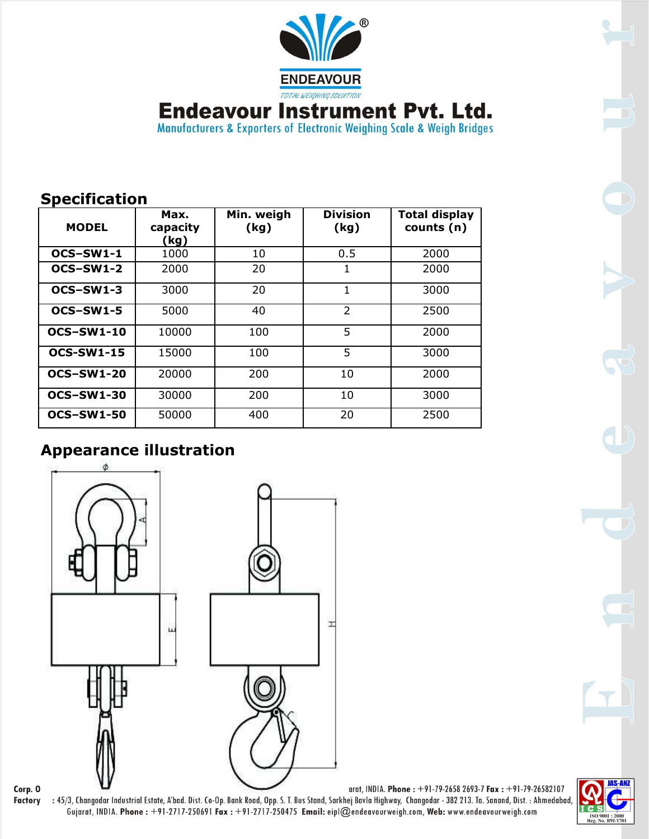

**Endeavour Instrument Pvt. Ltd.**<br>Manufacturers & Exporters of Electronic Weighing Scale & Weigh Bridges

| <b>MODEL</b>      | Max.<br>capacity<br>(kg) | Min. weigh<br>(kg) | <b>Division</b><br>(kg) | <b>Total display</b><br>counts (n) |
|-------------------|--------------------------|--------------------|-------------------------|------------------------------------|
| OCS-SW1-1         | 1000                     | 10                 | 0.5                     | 2000                               |
| OCS-SW1-2         | 2000                     | 20                 | 1                       | 2000                               |
| OCS-SW1-3         | 3000                     | 20                 | 1                       | 3000                               |
| OCS-SW1-5         | 5000                     | 40                 | $\overline{2}$          | 2500                               |
| <b>OCS-SW1-10</b> | 10000                    | 100                | 5                       | 2000                               |
| <b>OCS-SW1-15</b> | 15000                    | 100                | 5                       | 3000                               |
| <b>OCS-SW1-20</b> | 20000                    | 200                | 10                      | 2000                               |
| <b>OCS-SW1-30</b> | 30000                    | 200                | 10                      | 3000                               |
| <b>OCS-SW1-50</b> | 50000                    | 400                | 20                      | 2500                               |

## **Appearance illustration**



Corp. O **Factory** 

arat, INDIA. Phone: +91-79-2658 2693-7 Fax: +91-79-26582107 : 45/3, Changodar Industrial Estate, A'bad. Dist. Co-Op. Bank Road, Opp. S. T. Bus Stand, Sarkhej Bavla Highway, Changodar - 382 213. Ta. Sanand, Dist. : Ahmedabad,<br>Gujarat, INDIA. Phone : +91-2717-250691 Fax : +91-2717-25